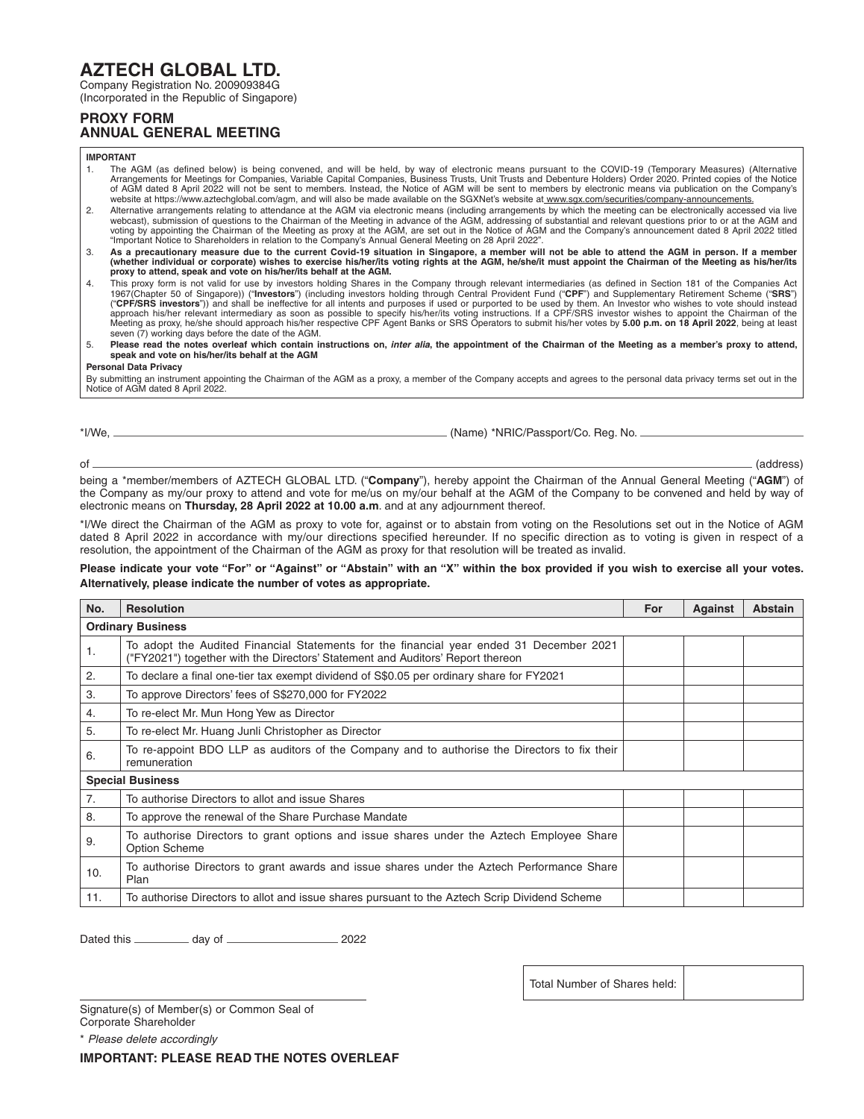## **AZTECH GLOBAL LTD.**

Company Registration No. 200909384G

(Incorporated in the Republic of Singapore)

## **PROXY FORM ANNUAL GENERAL MEETING**

**IMPORTANT**

- 1. The AGM (as defined below) is being convened, and will be held, by way of electronic means pursuant to the COVID-19 (Temporary Measures) (Alternative<br>Arrangements for Meetings for Companies, Variable Capital Companies, of AGM dated 8 April 2022 will not be sent to members. Instead, the Notice of AGM will be sent to members by electronic means via publication on the Company's<br>website at https://www.aztechglobal.com/agm, and will also be m
- Alternative arrangements relating to attendance at the AGM via electronic means (including arrangements by which the meeting can be electronically accessed via live<br>webcast), submission of questions to the Chairman of the "Important Notice to Shareholders in relation to the Company's Annual General Meeting on 28 April 2022".
- 3. As a precautionary measure due to the current Covid-19 situation in Singapore, a member will not be able to attend the AGM in person. If a member<br>whether individual or corporate) wishes to exercise his/her/its voting ri **proxy to attend, speak and vote on his/her/its behalf at the AGM.**
- 4. This proxy form is not valid for use by investors holding Shares in the Company through relevant intermediaries (as defined in Section 181 of the Companies Act 1967(Chapter 50 of Singapore)) ("Investors") (including investors holding through Central Provident Fund ("CPF") and Supplementary Retirement Scheme ("SRS")<br>("CPF/SRS investors")) and shall be inefective for all intents an
- 5. Please read the notes overleaf which contain instructions on, *inter alia*, the appointment of the Chairman of the Meeting as a member's proxy to attend,<br>speak and vote on his/her/its behalf at the AGM

**Personal Data Privacy**

By submitting an instrument appointing the Chairman of the AGM as a proxy, a member of the Company accepts and agrees to the personal data privacy terms set out in the Notice of AGM dated 8 April 2022.

\*I/We, (Name) \*NRIC/Passport/Co. Reg. No.

of (address)

being a \*member/members of AZTECH GLOBAL LTD. ("**Company**"), hereby appoint the Chairman of the Annual General Meeting ("**AGM**") of the Company as my/our proxy to attend and vote for me/us on my/our behalf at the AGM of the Company to be convened and held by way of electronic means on **Thursday, 28 April 2022 at 10.00 a.m**. and at any adjournment thereof.

\*I/We direct the Chairman of the AGM as proxy to vote for, against or to abstain from voting on the Resolutions set out in the Notice of AGM dated 8 April 2022 in accordance with my/our directions specified hereunder. If no specific direction as to voting is given in respect of a resolution, the appointment of the Chairman of the AGM as proxy for that resolution will be treated as invalid.

**Please indicate your vote "For" or "Against" or "Abstain" with an "X" within the box provided if you wish to exercise all your votes. Alternatively, please indicate the number of votes as appropriate.**

| No.                      | <b>Resolution</b>                                                                                                                                                         | <b>For</b> | <b>Against</b> | <b>Abstain</b> |
|--------------------------|---------------------------------------------------------------------------------------------------------------------------------------------------------------------------|------------|----------------|----------------|
| <b>Ordinary Business</b> |                                                                                                                                                                           |            |                |                |
| 1.                       | To adopt the Audited Financial Statements for the financial year ended 31 December 2021<br>("FY2021") together with the Directors' Statement and Auditors' Report thereon |            |                |                |
| 2.                       | To declare a final one-tier tax exempt dividend of S\$0.05 per ordinary share for FY2021                                                                                  |            |                |                |
| 3.                       | To approve Directors' fees of S\$270,000 for FY2022                                                                                                                       |            |                |                |
| 4.                       | To re-elect Mr. Mun Hong Yew as Director                                                                                                                                  |            |                |                |
| 5.                       | To re-elect Mr. Huang Junli Christopher as Director                                                                                                                       |            |                |                |
| 6.                       | To re-appoint BDO LLP as auditors of the Company and to authorise the Directors to fix their<br>remuneration                                                              |            |                |                |
| <b>Special Business</b>  |                                                                                                                                                                           |            |                |                |
| 7.                       | To authorise Directors to allot and issue Shares                                                                                                                          |            |                |                |
| 8.                       | To approve the renewal of the Share Purchase Mandate                                                                                                                      |            |                |                |
| 9.                       | To authorise Directors to grant options and issue shares under the Aztech Employee Share<br><b>Option Scheme</b>                                                          |            |                |                |
| 10.                      | To authorise Directors to grant awards and issue shares under the Aztech Performance Share<br>Plan                                                                        |            |                |                |
| 11.                      | To authorise Directors to allot and issue shares pursuant to the Aztech Scrip Dividend Scheme                                                                             |            |                |                |

Dated this \_\_\_\_\_\_\_\_\_\_\_\_ day of \_\_\_\_\_\_\_\_\_\_\_\_\_\_\_\_\_\_\_\_\_\_\_\_\_\_ 2022

Total Number of Shares held:

Signature(s) of Member(s) or Common Seal of Corporate Shareholder

\* *Please delete accordingly*

**IMPORTANT: PLEASE READ THE NOTES OVERLEAF**